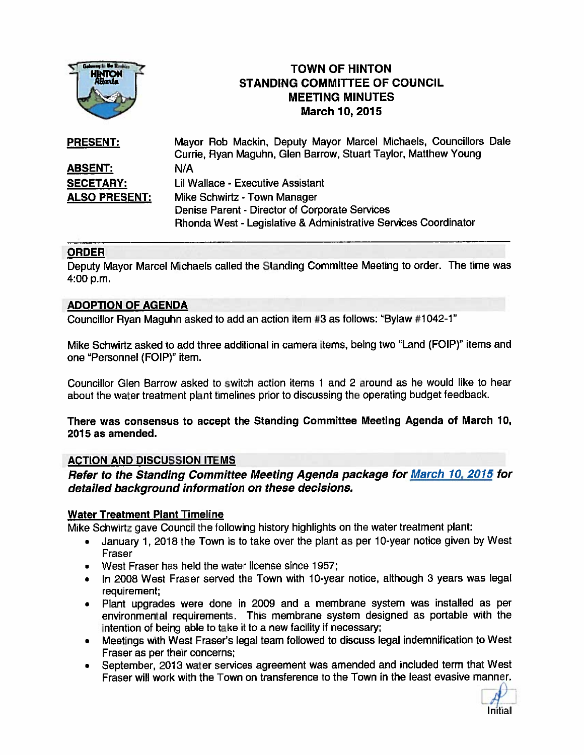

# TOWN OF HINTON STANDING COMMITTEE OF COUNCIL MEETING MINUTES TOWN OF HINTC<br>
MARCH 3TANDING COMMITTEE O

| <b>PRESENT:</b>      | Mayor Rob Mackin, Deputy Mayor Marcel Michaels, Councillors Dale |
|----------------------|------------------------------------------------------------------|
|                      | Currie, Ryan Maguhn, Glen Barrow, Stuart Taylor, Matthew Young   |
| <b>ABSENT:</b>       | N/A                                                              |
| <b>SECETARY:</b>     | Lil Wallace - Executive Assistant                                |
| <b>ALSO PRESENT:</b> | Mike Schwirtz - Town Manager                                     |
|                      | Denise Parent - Director of Corporate Services                   |
|                      | Rhonda West - Legislative & Administrative Services Coordinator  |

# ORDER

Deputy Mayor Marcel Michaels called the Standing Committee Meeting to order. The time was 4:00 p.m.

# ADOPTION OF AGENDA

Councillor Ryan Maguhn asked to add an action item #3 as follows: 'Bylaw #1042-1'

Mike Schwirtz asked to add three additional in camera items, being two "Land (FOIP)" items and one "Personnel (FOIP)" item.

Councillor Glen Barrow asked to switch action items 1 and 2 around as he would like to hear about the water treatment <sup>p</sup>lant timelines prior to discussing the operating budget feedback.

## There was consensus to accep<sup>t</sup> the Standing Committee Meeting Agenda of March 10, 2015 as amended.

## ACTION AND DISCUSSION ITEMS

Refer to the Standing Committee Meeting Agenda package for March 10, <sup>2015</sup> for detailed background information on these decisions.

## Water Treatment Plant Timeline

Mike Schwirtz gave Council the following history highlights on the water treatment <sup>p</sup>lant:

- • January 1, <sup>2018</sup> the Town is to take over the <sup>p</sup>lant as per 10-year notice <sup>g</sup>iven by West Fraser
- West Fraser has held the water license since 1957;
- In 2008 West Fraser served the Town with 10-year notice, although 3 years was legal requirement;
- Plant upgrades were done in 2009 and <sup>a</sup> membrane system was installed as per environmental requirements. This membrane system designed as portable with the intention of being able to take it to <sup>a</sup> new facility if necessary;
- Meetings with West Fraser's legal team followed to discuss legal indemnification to West Fraser as per their concerns;
- September, <sup>2013</sup> water services agreemen<sup>t</sup> was amended and included term that West Fraser will work with the Town on transference to the Town in the least evasive manner.

Initial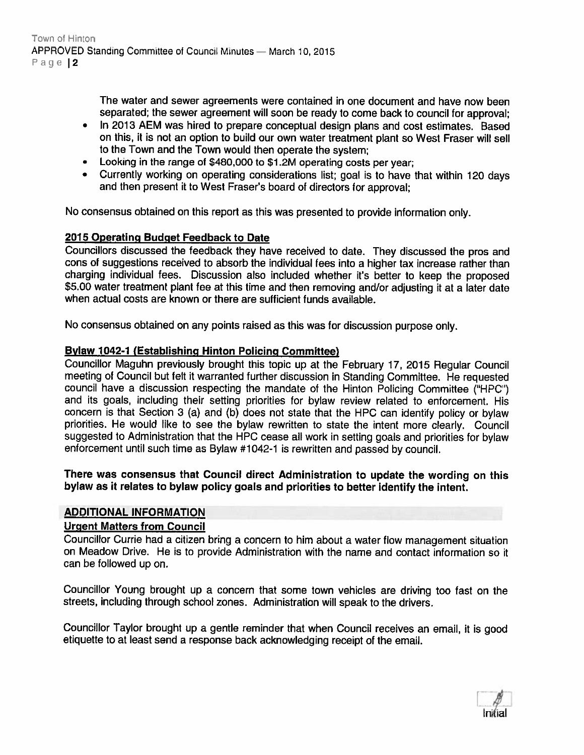The water and sewer agreements were contained in one document and have now been separated; the sewer agreemen<sup>t</sup> will soon be ready to come back to council for approval;

- • In 2013 AEM was hired to prepare conceptual design plans and cost estimates. Based on this, it is not an option to build our own water treatment <sup>p</sup>lant so West Fraser will sell to the Town and the Town would then operate the system;
- Looking in the range of \$480,000 to \$1.2M operating costs per year;
- • Currently working on operating considerations list; goa<sup>l</sup> is to have that within <sup>120</sup> days and then presen<sup>t</sup> it to West Fraser's board of directors for approval;

No consensus obtained on this repor<sup>t</sup> as this was presented to provide information only.

## 2015 Operating Budget Feedback to Date

Councillors discussed the feedback they have received to date. They discussed the pros and cons of suggestions received to absorb the individual fees into <sup>a</sup> higher tax increase rather than charging individual fees. Discussion also included whether it's better to keep the propose<sup>d</sup> \$5.00 water treatment <sup>p</sup>lant fee at this time and then removing and/or adjusting it at <sup>a</sup> later date when actual costs are known or there are sufficient funds available.

No consensus obtained on any points raised as this was for discussion purpose only.

## Bylaw 1042-1 (Establishing Hinton Policing Committee)

Councillor Maguhn previously brought this topic up at the February 17, <sup>2015</sup> Regular Council meeting of Council but felt it warranted further discussion in Standing Committee. He requested council have <sup>a</sup> discussion respecting the mandate of the Hinton Policing Committee ("HPG') and its goals, including their setting priorities for bylaw review related to enforcement. His concern is that Section <sup>3</sup> (a) and (b) does not state that the HPC can identify policy or bylaw priorities. He would like to see the bylaw rewritten to state the intent more clearly. Council suggested to Administration that the HPC cease all work in setting goals and priorities for bylaw enforcement until such time as Bylaw #1042-1 is rewritten and passe<sup>d</sup> by council.

There was consensus that Council direct Administration to update the wording on this bylaw as it relates to bylaw policy goals and priorities to better identify the intent.

#### ADDITIONAL INFORMATION

# Urgent Matters from Council

Councillor Currie had <sup>a</sup> citizen bring <sup>a</sup> concern to him about <sup>a</sup> water flow managemen<sup>t</sup> situation on Meadow Drive. He is to provide Administration with the name and contact information so it can be followed up on.

Councillor Young brought up <sup>a</sup> concern that some town vehicles are driving too fast on the streets, including through school zones. Administration will speak to the drivers.

Councillor Taylor brought up <sup>a</sup> gentle reminder that when Council receives an email, it is goo<sup>d</sup> etiquette to at least send <sup>a</sup> response back acknowledging receipt of the email.